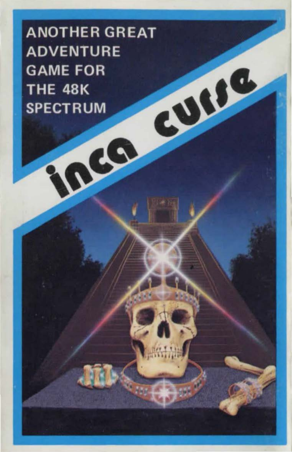**ANOTHER GREAT ADVENTURE** curse **GAME FOR THE 48K SPECTRUM** 

Inca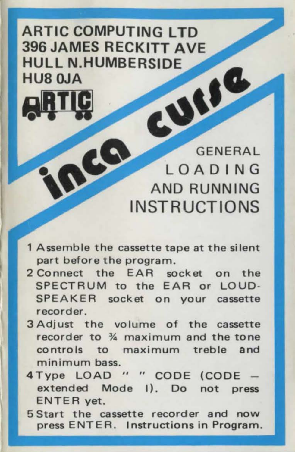## **ARTIC COMPUTING LTD 396 JAMES RECKITT AVE HULL N.HUMBERSIDE** HUR 0.14 UIS

**GENERAL** LOADING AND RUNNING INSTRUCTIONS

- 1 Assemble the cassette tape at the silent part before the program.
- 2 Connect the EAR socket on the SPECTRUM to the EAR or LOUD-SPEAKER socket on your cassette **recorder.**
- 3 Adjust the volume of the cassette **recorder to % maximum and the tone**  controls to maximum treble and **minimum bass.**
- 4 Type LOAD " " CODE (CODE extended Mode I). Do not press ENTER yet.
- 5 Start the cassette recorder and now press ENTER. Instructions in Program.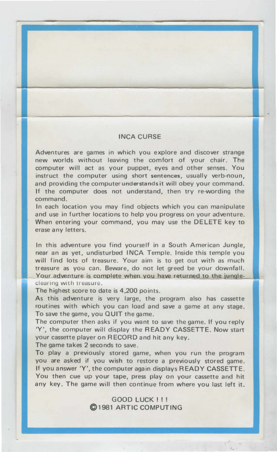## INCA CURSE

- '

-··

Adventures are games in which you explore and discover strange new worlds without leaving the comfort of your chair. The computer will act as your puppet, eyes and other senses. You instruct the computer using short sentences, usually verb-noun, and providing the computer understands it will obey your command. If the computer does not understand, then try re-wording the command.

In each location you may find objects which you can manipulate and use in further locations to help you progress on your adventure. When entering your command, you may use the DELETE key to erase any letters.

In this adventure you find yourself in a South American Jungle, near an as yet, undisturbed INCA Temple. Inside this temple you will find lots of treasure. Your aim is to get out with as much treasure as you can. Beware, do not let greed be your downfall. Your adventure is complete when you have returned to the jungleclearing with treasure.

The highest score to date is 4,200 points.

As this adventure is very large, the program also has cassette routines with which you can load and save a game at any stage. To save the game, you QUIT the game.

The computer then asks if you want to save the game. If you reply 'Y', the computer will display the READY CASSETTE. Now start your cassette player on RECORD and hit any key.

The game takes 2 seconds to save .

To play a previously stored game, when you run the program you are asked if you wish to restore a previously stored game. If you answer 'Y', the computer again displays READY CASSETTE. You then cue up your tape, press play on your cassette and hit any key. The game will then continue from where you last left it.

> GOOD LUCK ! ! ! ©1981 ARTIC COMPUTING